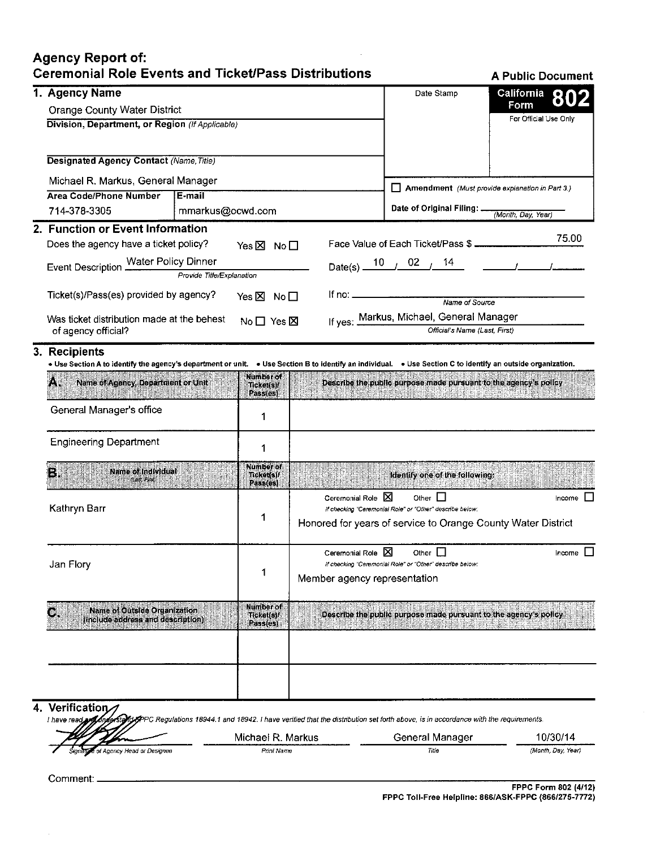## Agency Report of: Ceremonial Role Events and Ticket/Pass Distributions A Public Document

|                                                                                                                                                              | 1. Agency Name                                  |                                                                                                                                                                                                                                                                      | Date Stamp                                 | <b>California</b>                                                                          |                                                                                                                                            |                    |  |
|--------------------------------------------------------------------------------------------------------------------------------------------------------------|-------------------------------------------------|----------------------------------------------------------------------------------------------------------------------------------------------------------------------------------------------------------------------------------------------------------------------|--------------------------------------------|--------------------------------------------------------------------------------------------|--------------------------------------------------------------------------------------------------------------------------------------------|--------------------|--|
|                                                                                                                                                              | <b>Orange County Water District</b>             |                                                                                                                                                                                                                                                                      |                                            |                                                                                            |                                                                                                                                            | Form               |  |
|                                                                                                                                                              | Division, Department, or Region (If Applicable) |                                                                                                                                                                                                                                                                      |                                            | For Official Use Only                                                                      |                                                                                                                                            |                    |  |
|                                                                                                                                                              |                                                 |                                                                                                                                                                                                                                                                      |                                            |                                                                                            |                                                                                                                                            |                    |  |
|                                                                                                                                                              |                                                 | <b>Designated Agency Contact (Name, Title)</b>                                                                                                                                                                                                                       |                                            |                                                                                            |                                                                                                                                            |                    |  |
|                                                                                                                                                              | Michael R. Markus, General Manager              |                                                                                                                                                                                                                                                                      |                                            |                                                                                            |                                                                                                                                            |                    |  |
|                                                                                                                                                              | <b>Area Code/Phone Number</b>                   | E-mail                                                                                                                                                                                                                                                               |                                            |                                                                                            | $\Box$ Amendment (Must provide explanation in Part 3.)                                                                                     |                    |  |
|                                                                                                                                                              | 714-378-3305                                    | mmarkus@ocwd.com                                                                                                                                                                                                                                                     |                                            |                                                                                            | Date of Original Filing: _                                                                                                                 | (Month, Day, Year) |  |
|                                                                                                                                                              | 2. Function or Event Information                |                                                                                                                                                                                                                                                                      |                                            | 75.00                                                                                      |                                                                                                                                            |                    |  |
|                                                                                                                                                              |                                                 | Does the agency have a ticket policy?<br>Yes⊠ No□<br>Event Description Water Policy Dinner<br>Provide Title/Explanation<br>Ticket(s)/Pass(es) provided by agency?<br>Yes $\boxtimes$ No $\square$<br>Was ticket distribution made at the behest<br>No 口 Yes <b>区</b> |                                            |                                                                                            | Face Value of Each Ticket/Pass \$ ____________                                                                                             |                    |  |
|                                                                                                                                                              |                                                 |                                                                                                                                                                                                                                                                      |                                            |                                                                                            | Date(s) $\frac{10}{10}$ 02 $\frac{14}{14}$                                                                                                 |                    |  |
|                                                                                                                                                              |                                                 |                                                                                                                                                                                                                                                                      |                                            |                                                                                            |                                                                                                                                            |                    |  |
|                                                                                                                                                              |                                                 |                                                                                                                                                                                                                                                                      |                                            | lf no: _____________________<br>Name of Source<br>If yes: Markus, Michael, General Manager |                                                                                                                                            |                    |  |
|                                                                                                                                                              |                                                 |                                                                                                                                                                                                                                                                      |                                            |                                                                                            |                                                                                                                                            |                    |  |
|                                                                                                                                                              | of agency official?                             |                                                                                                                                                                                                                                                                      |                                            |                                                                                            | Official's Name (Last, First)                                                                                                              |                    |  |
|                                                                                                                                                              | 3. Recipients                                   |                                                                                                                                                                                                                                                                      |                                            |                                                                                            |                                                                                                                                            |                    |  |
| • Use Section A to identify the agency's department or unit. • Use Section B to identify an individual. • Use Section C to identify an outside organization. |                                                 |                                                                                                                                                                                                                                                                      |                                            |                                                                                            |                                                                                                                                            |                    |  |
|                                                                                                                                                              | Name of Agency, Department or Unit              |                                                                                                                                                                                                                                                                      | Number of<br><b>Ticket(s)/</b><br>Pass(es) |                                                                                            | Describe the public purpose made pursuant to the agency's policy<br><u> Kabupatèn Salam Salam Bandar Salam Salam Salam Bandar Salam Ba</u> |                    |  |
|                                                                                                                                                              | General Manager's office                        |                                                                                                                                                                                                                                                                      | 1                                          |                                                                                            |                                                                                                                                            |                    |  |
|                                                                                                                                                              | <b>Engineering Department</b>                   |                                                                                                                                                                                                                                                                      | 1                                          |                                                                                            |                                                                                                                                            |                    |  |
|                                                                                                                                                              | Name of Individual<br>B. Maria                  |                                                                                                                                                                                                                                                                      | Number of<br>Ticket(s)/<br>Pass(es)        |                                                                                            | identify one of the following:                                                                                                             |                    |  |
|                                                                                                                                                              |                                                 |                                                                                                                                                                                                                                                                      |                                            | Ceremonial Role X                                                                          | Other $\Box$                                                                                                                               | Income $\Box$      |  |
|                                                                                                                                                              | Kathryn Barr                                    |                                                                                                                                                                                                                                                                      | 1                                          |                                                                                            | If checking "Ceremonial Role" or "Other" describe below:                                                                                   |                    |  |
|                                                                                                                                                              |                                                 |                                                                                                                                                                                                                                                                      |                                            |                                                                                            | Honored for years of service to Orange County Water District                                                                               |                    |  |
|                                                                                                                                                              |                                                 | 1                                                                                                                                                                                                                                                                    |                                            | Ceremonial Role X                                                                          | Other $\square$                                                                                                                            | Income $\Box$      |  |
|                                                                                                                                                              | Jan Flory                                       |                                                                                                                                                                                                                                                                      |                                            | If checking "Ceremonial Role" or "Other" describe below:                                   |                                                                                                                                            |                    |  |
|                                                                                                                                                              |                                                 |                                                                                                                                                                                                                                                                      |                                            | Member agency representation                                                               |                                                                                                                                            |                    |  |
|                                                                                                                                                              | Name of Outside Organization                    |                                                                                                                                                                                                                                                                      | Number of                                  |                                                                                            |                                                                                                                                            |                    |  |
|                                                                                                                                                              | (include address and description)               |                                                                                                                                                                                                                                                                      | Ticket(s)/<br>Pass(es)                     |                                                                                            | Describe the public purpose made pursuant to the agency's policy                                                                           |                    |  |
|                                                                                                                                                              |                                                 |                                                                                                                                                                                                                                                                      |                                            |                                                                                            |                                                                                                                                            |                    |  |
|                                                                                                                                                              |                                                 |                                                                                                                                                                                                                                                                      |                                            |                                                                                            |                                                                                                                                            |                    |  |
|                                                                                                                                                              |                                                 |                                                                                                                                                                                                                                                                      |                                            |                                                                                            |                                                                                                                                            |                    |  |
|                                                                                                                                                              |                                                 |                                                                                                                                                                                                                                                                      |                                            |                                                                                            |                                                                                                                                            |                    |  |
|                                                                                                                                                              | 4. Verification                                 |                                                                                                                                                                                                                                                                      |                                            |                                                                                            |                                                                                                                                            |                    |  |

1 have read anti-profession of Regulations 18944.1 and 18942. I have verified that the distribution set forth above, is in accordance with the requirements.

| 24 T X V                             | . Markus<br>Michael R. | General Manager | 10/30/14           |
|--------------------------------------|------------------------|-----------------|--------------------|
| Signative of Agency Head or Designee | Print Name             | Title           | (Month, Day, Year) |

 $\bar{z}$